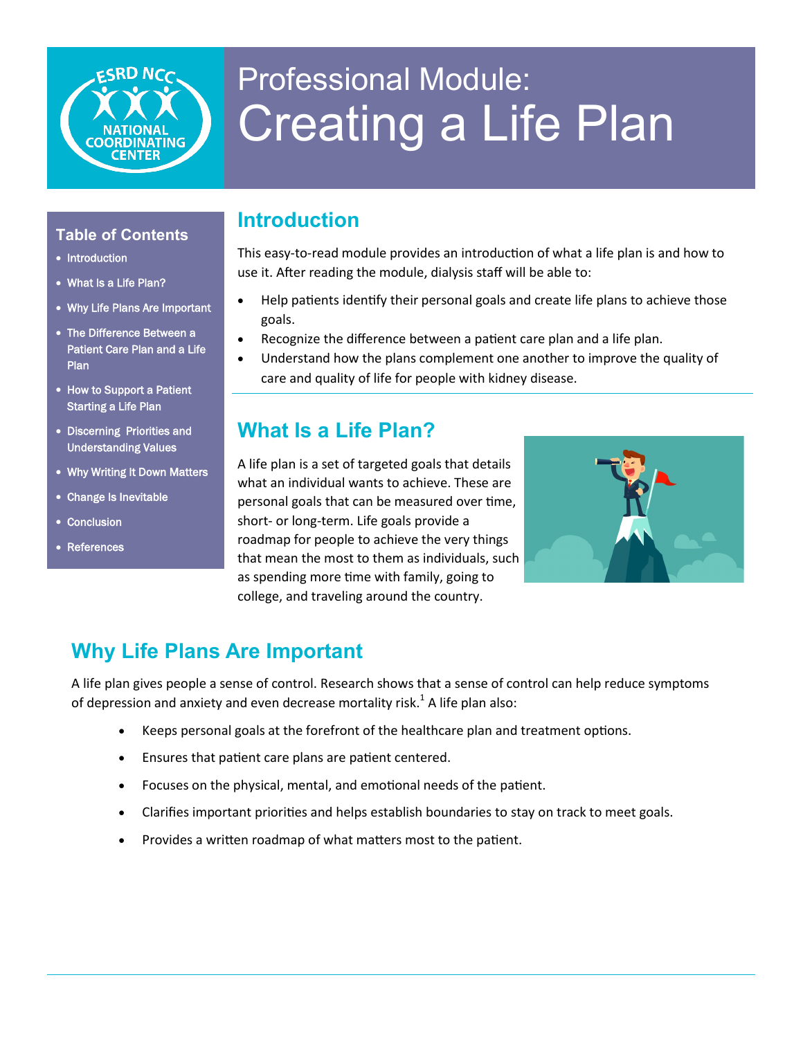

# Professional Module: Creating a Life Plan

#### **Table of Contents**

- Introduction
- What Is a Life Plan?
- Why Life Plans Are Important
- The Difference Between a Patient Care Plan and a Life **Plan**
- How to Support a Patient Starting a Life Plan
- Discerning Priorities and Understanding Values
- Why Writing It Down Matters
- Change Is Inevitable
- Conclusion
- References

#### **Introduction**

This easy-to-read module provides an introduction of what a life plan is and how to use it. After reading the module, dialysis staff will be able to:

- Help patients identify their personal goals and create life plans to achieve those goals.
- Recognize the difference between a patient care plan and a life plan.
- Understand how the plans complement one another to improve the quality of care and quality of life for people with kidney disease.

### **What Is a Life Plan?**

A life plan is a set of targeted goals that details what an individual wants to achieve. These are personal goals that can be measured over time, short- or long-term. Life goals provide a roadmap for people to achieve the very things that mean the most to them as individuals, such as spending more time with family, going to college, and traveling around the country.



## **Why Life Plans Are Important**

A life plan gives people a sense of control. Research shows that a sense of control can help reduce symptoms of depression and anxiety and even decrease mortality risk.<sup>1</sup> A life plan also:

- Keeps personal goals at the forefront of the healthcare plan and treatment options.
- Ensures that patient care plans are patient centered.
- Focuses on the physical, mental, and emotional needs of the patient.
- Clarifies important priorities and helps establish boundaries to stay on track to meet goals.
- Provides a written roadmap of what matters most to the patient.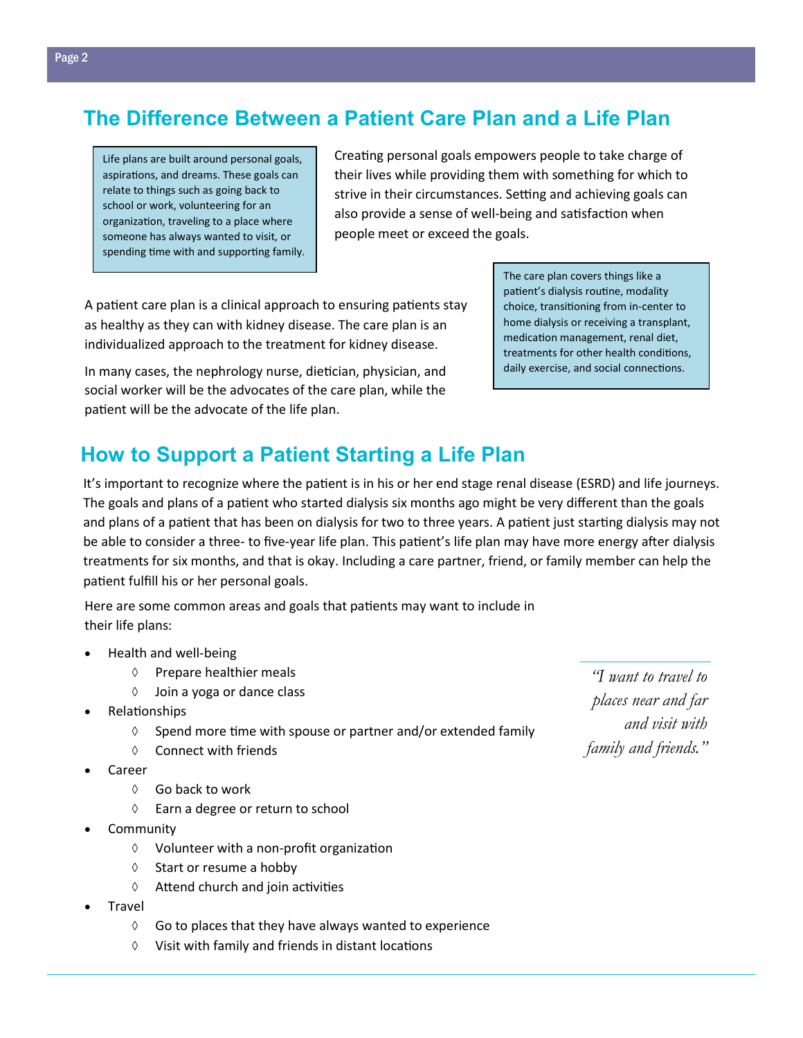## **The Difference Between a Patient Care Plan and a Life Plan**

Life plans are built around personal goals, aspirations, and dreams. These goals can relate to things such as going back to school or work, volunteering for an organization, traveling to a place where someone has always wanted to visit, or spending time with and supporting family. Creating personal goals empowers people to take charge of their lives while providing them with something for which to strive in their circumstances. Setting and achieving goals can also provide a sense of well-being and satisfaction when people meet or exceed the goals.

A patient care plan is a clinical approach to ensuring patients stay as healthy as they can with kidney disease. The care plan is an individualized approach to the treatment for kidney disease.

In many cases, the nephrology nurse, dietician, physician, and social worker will be the advocates of the care plan, while the patient will be the advocate of the life plan.

**How to Support a Patient Starting a Life Plan** 

It's important to recognize where the patient is in his or her end stage renal disease (ESRD) and life journeys. The goals and plans of a patient who started dialysis six months ago might be very different than the goals and plans of a patient that has been on dialysis for two to three years. A patient just starting dialysis may not be able to consider a three- to five-year life plan. This patient's life plan may have more energy after dialysis treatments for six months, and that is okay. Including a care partner, friend, or family member can help the patient fulfill his or her personal goals.

Here are some common areas and goals that patients may want to include in their life plans:

- Health and well-being
	- $\Diamond$  Prepare healthier meals
	- Join a yoga or dance class
- Relationships
	- $\Diamond$  Spend more time with spouse or partner and/or extended family
	- $\lozenge$  Connect with friends
- Career
	- $\Diamond$  Go back to work
	- Earn a degree or return to school
- **Community** 
	- $\Diamond$  Volunteer with a non-profit organization
	- $\Diamond$  Start or resume a hobby
	- $\Diamond$  Attend church and join activities
- **Travel** 
	- $\Diamond$  Go to places that they have always wanted to experience
	- $\Diamond$  Visit with family and friends in distant locations

*"I want to travel to places near and far and visit with family and friends."*

The care plan covers things like a patient's dialysis routine, modality choice, transitioning from in-center to home dialysis or receiving a transplant, medication management, renal diet, treatments for other health conditions, daily exercise, and social connections.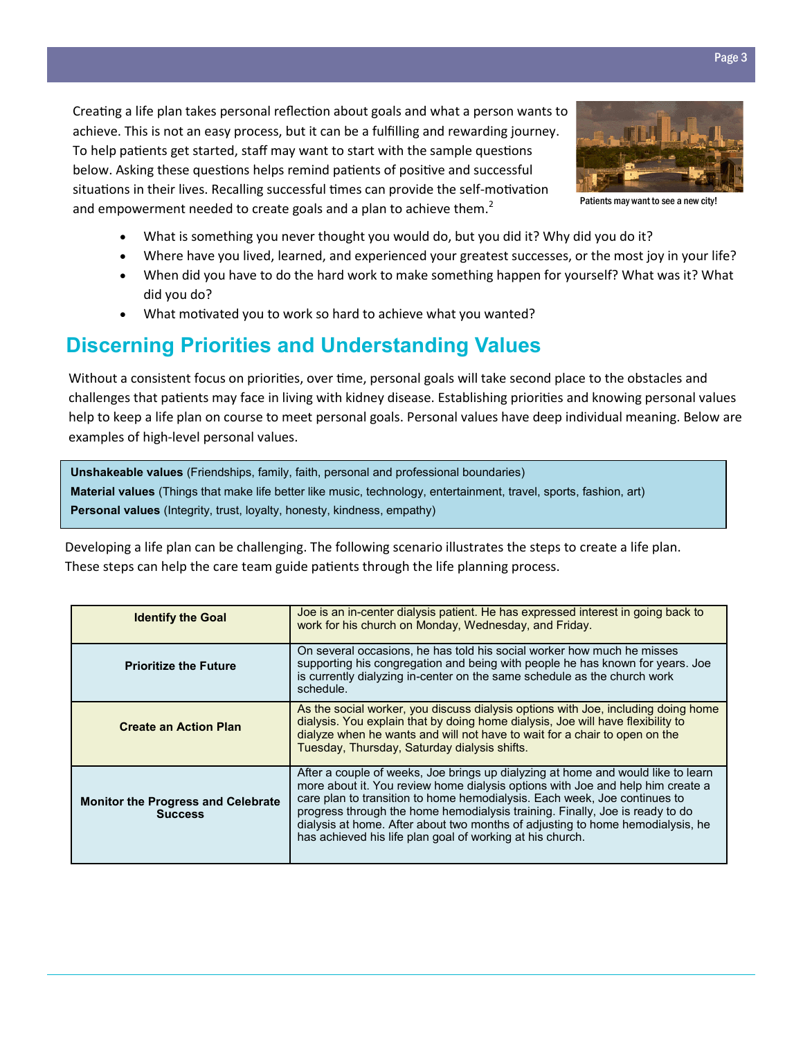Creating a life plan takes personal reflection about goals and what a person wants to achieve. This is not an easy process, but it can be a fulfilling and rewarding journey. To help patients get started, staff may want to start with the sample questions below. Asking these questions helps remind patients of positive and successful situations in their lives. Recalling successful times can provide the self-motivation and empowerment needed to create goals and a plan to achieve them. $<sup>2</sup>$ </sup>



Patients may want to see a new city!

- What is something you never thought you would do, but you did it? Why did you do it?
- Where have you lived, learned, and experienced your greatest successes, or the most joy in your life?
- When did you have to do the hard work to make something happen for yourself? What was it? What did you do?
- What motivated you to work so hard to achieve what you wanted?

#### **Discerning Priorities and Understanding Values**

Without a consistent focus on priorities, over time, personal goals will take second place to the obstacles and challenges that patients may face in living with kidney disease. Establishing priorities and knowing personal values help to keep a life plan on course to meet personal goals. Personal values have deep individual meaning. Below are examples of high-level personal values.

**Unshakeable values** (Friendships, family, faith, personal and professional boundaries) **Material values** (Things that make life better like music, technology, entertainment, travel, sports, fashion, art) **Personal values** (Integrity, trust, loyalty, honesty, kindness, empathy)

Developing a life plan can be challenging. The following scenario illustrates the steps to create a life plan. These steps can help the care team guide patients through the life planning process.

| <b>Identify the Goal</b>                                    | Joe is an in-center dialysis patient. He has expressed interest in going back to<br>work for his church on Monday, Wednesday, and Friday.                                                                                                                                                                                                                                                                                                                                      |
|-------------------------------------------------------------|--------------------------------------------------------------------------------------------------------------------------------------------------------------------------------------------------------------------------------------------------------------------------------------------------------------------------------------------------------------------------------------------------------------------------------------------------------------------------------|
| <b>Prioritize the Future</b>                                | On several occasions, he has told his social worker how much he misses<br>supporting his congregation and being with people he has known for years. Joe<br>is currently dialyzing in-center on the same schedule as the church work<br>schedule.                                                                                                                                                                                                                               |
| <b>Create an Action Plan</b>                                | As the social worker, you discuss dialysis options with Joe, including doing home<br>dialysis. You explain that by doing home dialysis, Joe will have flexibility to<br>dialyze when he wants and will not have to wait for a chair to open on the<br>Tuesday, Thursday, Saturday dialysis shifts.                                                                                                                                                                             |
| <b>Monitor the Progress and Celebrate</b><br><b>Success</b> | After a couple of weeks, Joe brings up dialyzing at home and would like to learn<br>more about it. You review home dialysis options with Joe and help him create a<br>care plan to transition to home hemodialysis. Each week, Joe continues to<br>progress through the home hemodialysis training. Finally, Joe is ready to do<br>dialysis at home. After about two months of adjusting to home hemodialysis, he<br>has achieved his life plan goal of working at his church. |